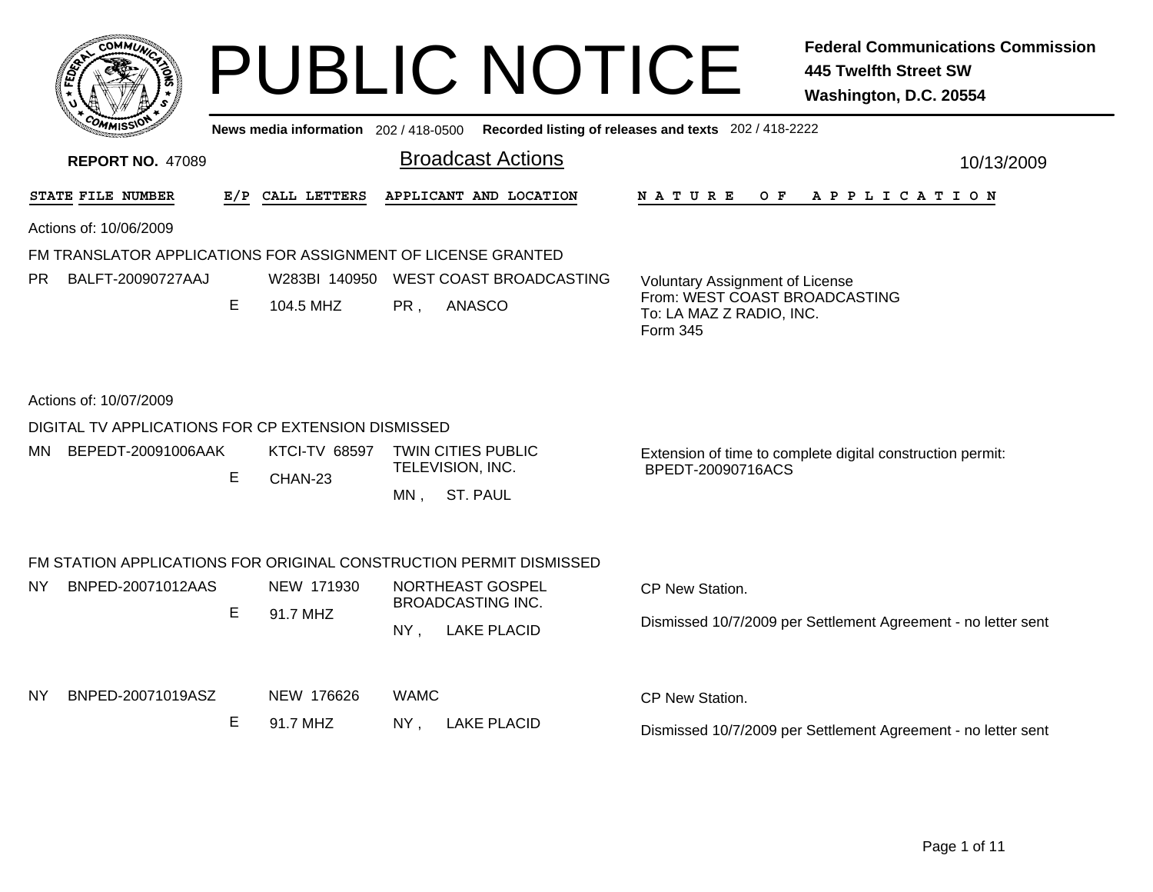| <b>COMMU)</b>                                                                            |    |                                       | <b>PUBLIC NOTICE</b>                                                      | <b>Federal Communications Commission</b><br><b>445 Twelfth Street SW</b><br>Washington, D.C. 20554       |
|------------------------------------------------------------------------------------------|----|---------------------------------------|---------------------------------------------------------------------------|----------------------------------------------------------------------------------------------------------|
|                                                                                          |    | News media information 202 / 418-0500 |                                                                           | Recorded listing of releases and texts 202 / 418-2222                                                    |
| <b>REPORT NO. 47089</b>                                                                  |    |                                       | <b>Broadcast Actions</b>                                                  | 10/13/2009                                                                                               |
| <b>STATE FILE NUMBER</b><br>E/P                                                          |    | CALL LETTERS                          | APPLICANT AND LOCATION                                                    | N A T U R E<br>O F<br>A P P L I C A T I O N                                                              |
| Actions of: 10/06/2009                                                                   |    |                                       |                                                                           |                                                                                                          |
| FM TRANSLATOR APPLICATIONS FOR ASSIGNMENT OF LICENSE GRANTED<br>PR.<br>BALFT-20090727AAJ | E. | W283BI 140950<br>104.5 MHZ            | WEST COAST BROADCASTING<br>PR,<br>ANASCO                                  | Voluntary Assignment of License<br>From: WEST COAST BROADCASTING<br>To: LA MAZ Z RADIO, INC.<br>Form 345 |
| Actions of: 10/07/2009                                                                   |    |                                       |                                                                           |                                                                                                          |
| DIGITAL TV APPLICATIONS FOR CP EXTENSION DISMISSED                                       |    |                                       |                                                                           |                                                                                                          |
| MN BEPEDT-20091006AAK                                                                    | E  | <b>KTCI-TV 68597</b><br>CHAN-23       | <b>TWIN CITIES PUBLIC</b><br>TELEVISION, INC.<br><b>ST. PAUL</b><br>MN.   | Extension of time to complete digital construction permit:<br>BPEDT-20090716ACS                          |
|                                                                                          |    |                                       | FM STATION APPLICATIONS FOR ORIGINAL CONSTRUCTION PERMIT DISMISSED        |                                                                                                          |
| NY I<br>BNPED-20071012AAS                                                                | E  | NEW 171930<br>91.7 MHZ                | NORTHEAST GOSPEL<br><b>BROADCASTING INC.</b><br>NY,<br><b>LAKE PLACID</b> | CP New Station.<br>Dismissed 10/7/2009 per Settlement Agreement - no letter sent                         |
| NY.<br>BNPED-20071019ASZ                                                                 | E  | NEW 176626<br>91.7 MHZ                | <b>WAMC</b><br>NY.<br><b>LAKE PLACID</b>                                  | CP New Station.<br>Dismissed 10/7/2009 per Settlement Agreement - no letter sent                         |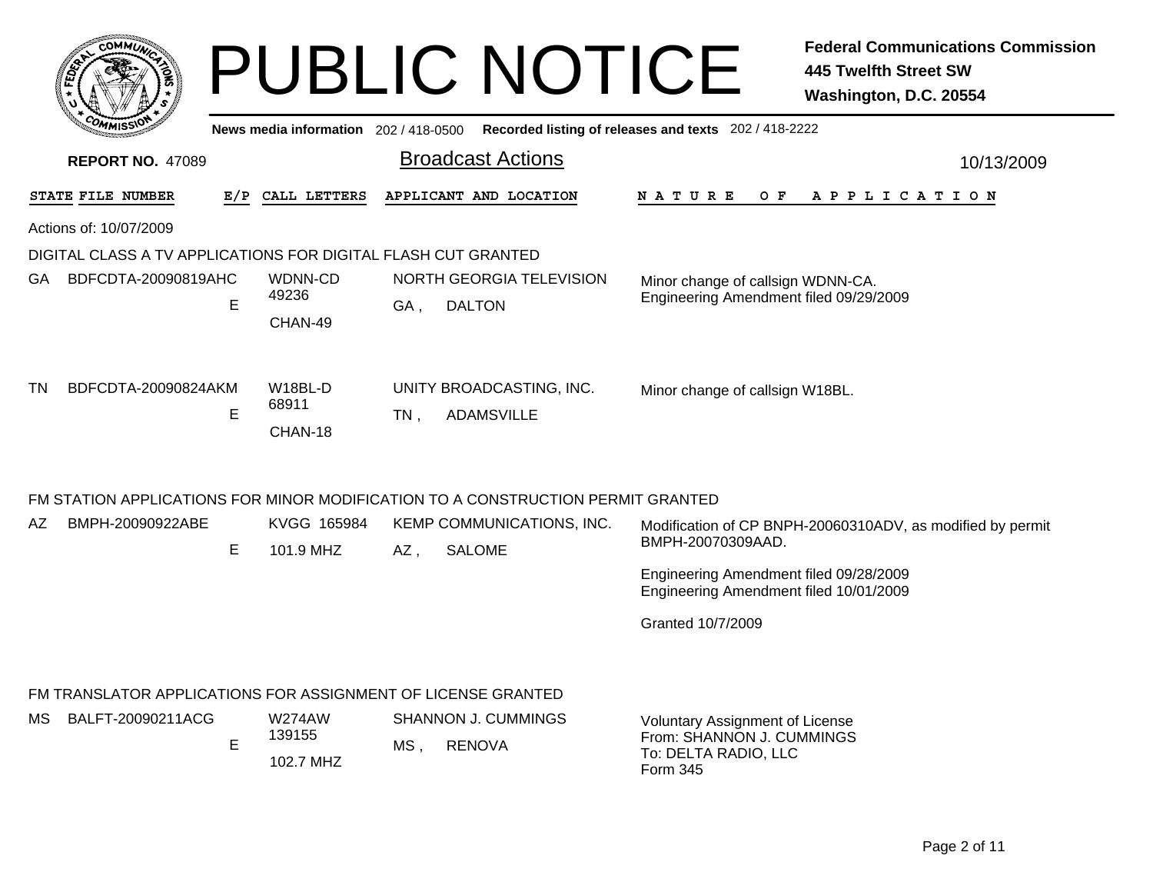|                          | <b>COMMUT</b>                                                                     |   |                                     |     | <b>PUBLIC NOTICE</b>                                                            |                                                                                  | <b>Federal Communications Commission</b><br><b>445 Twelfth Street SW</b><br>Washington, D.C. 20554 |
|--------------------------|-----------------------------------------------------------------------------------|---|-------------------------------------|-----|---------------------------------------------------------------------------------|----------------------------------------------------------------------------------|----------------------------------------------------------------------------------------------------|
|                          |                                                                                   |   | News media information 202/418-0500 |     |                                                                                 | Recorded listing of releases and texts 202 / 418-2222                            |                                                                                                    |
|                          | <b>REPORT NO. 47089</b>                                                           |   |                                     |     | <b>Broadcast Actions</b>                                                        |                                                                                  | 10/13/2009                                                                                         |
| STATE FILE NUMBER<br>E/P |                                                                                   |   | CALL LETTERS                        |     | APPLICANT AND LOCATION                                                          | N A T U R E<br>O F                                                               | A P P L I C A T I O N                                                                              |
|                          | Actions of: 10/07/2009                                                            |   |                                     |     |                                                                                 |                                                                                  |                                                                                                    |
|                          | DIGITAL CLASS A TV APPLICATIONS FOR DIGITAL FLASH CUT GRANTED                     |   |                                     |     |                                                                                 |                                                                                  |                                                                                                    |
| GA.                      | BDFCDTA-20090819AHC                                                               | E | WDNN-CD<br>49236<br>CHAN-49         | GA, | NORTH GEORGIA TELEVISION<br><b>DALTON</b>                                       | Minor change of callsign WDNN-CA.<br>Engineering Amendment filed 09/29/2009      |                                                                                                    |
| TN                       | BDFCDTA-20090824AKM                                                               | E | W18BL-D<br>68911<br>CHAN-18         | TN, | UNITY BROADCASTING, INC.<br><b>ADAMSVILLE</b>                                   | Minor change of callsign W18BL.                                                  |                                                                                                    |
|                          |                                                                                   |   |                                     |     | FM STATION APPLICATIONS FOR MINOR MODIFICATION TO A CONSTRUCTION PERMIT GRANTED |                                                                                  |                                                                                                    |
| AZ.                      | BMPH-20090922ABE                                                                  | E | KVGG 165984<br>101.9 MHZ            | AZ, | KEMP COMMUNICATIONS, INC.<br><b>SALOME</b>                                      | BMPH-20070309AAD.                                                                | Modification of CP BNPH-20060310ADV, as modified by permit                                         |
|                          |                                                                                   |   |                                     |     |                                                                                 | Engineering Amendment filed 09/28/2009<br>Engineering Amendment filed 10/01/2009 |                                                                                                    |
|                          |                                                                                   |   |                                     |     |                                                                                 | Granted 10/7/2009                                                                |                                                                                                    |
| MS.                      | FM TRANSLATOR APPLICATIONS FOR ASSIGNMENT OF LICENSE GRANTED<br>BALFT-20090211ACG |   | <b>W274AW</b>                       |     | <b>SHANNON J. CUMMINGS</b>                                                      | <b>Voluntary Assignment of License</b>                                           |                                                                                                    |
|                          |                                                                                   | E | 139155<br>102.7 MHZ                 | MS, | <b>RENOVA</b>                                                                   | From: SHANNON J. CUMMINGS<br>To: DELTA RADIO, LLC<br>Form 345                    |                                                                                                    |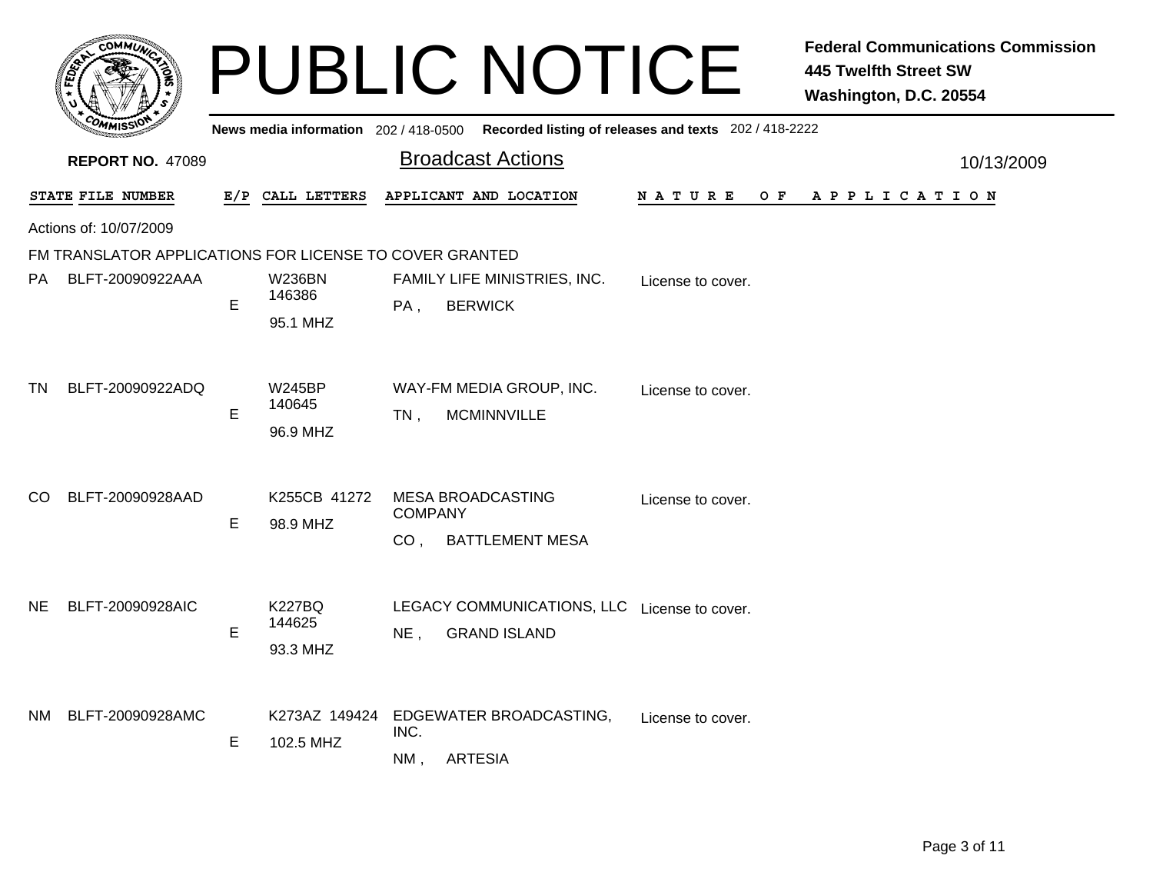|                   | <b>COMMUA</b>                                           |     |                                       |                                   | <b>PUBLIC NOTICE</b>                                                |                    | <b>Federal Communications Commission</b><br><b>445 Twelfth Street SW</b><br>Washington, D.C. 20554 |
|-------------------|---------------------------------------------------------|-----|---------------------------------------|-----------------------------------|---------------------------------------------------------------------|--------------------|----------------------------------------------------------------------------------------------------|
|                   |                                                         |     | News media information 202 / 418-0500 |                                   | Recorded listing of releases and texts 202 / 418-2222               |                    |                                                                                                    |
|                   | <b>REPORT NO. 47089</b>                                 |     |                                       |                                   | <b>Broadcast Actions</b>                                            |                    | 10/13/2009                                                                                         |
| STATE FILE NUMBER |                                                         | E/P | CALL LETTERS                          |                                   | APPLICANT AND LOCATION                                              | N A T U R E<br>O F | APPLICATION                                                                                        |
|                   | Actions of: 10/07/2009                                  |     |                                       |                                   |                                                                     |                    |                                                                                                    |
|                   | FM TRANSLATOR APPLICATIONS FOR LICENSE TO COVER GRANTED |     |                                       |                                   |                                                                     |                    |                                                                                                    |
| PA                | BLFT-20090922AAA                                        | E   | <b>W236BN</b><br>146386               | PA,                               | FAMILY LIFE MINISTRIES, INC.<br><b>BERWICK</b>                      | License to cover.  |                                                                                                    |
|                   |                                                         |     | 95.1 MHZ                              |                                   |                                                                     |                    |                                                                                                    |
| <b>TN</b>         | BLFT-20090922ADQ                                        | E   | <b>W245BP</b><br>140645<br>96.9 MHZ   | $TN$ ,                            | WAY-FM MEDIA GROUP, INC.<br><b>MCMINNVILLE</b>                      | License to cover.  |                                                                                                    |
| CO                | BLFT-20090928AAD                                        | E   | K255CB 41272<br>98.9 MHZ              | <b>COMPANY</b><br>CO <sub>1</sub> | <b>MESA BROADCASTING</b><br><b>BATTLEMENT MESA</b>                  | License to cover.  |                                                                                                    |
| NE.               | BLFT-20090928AIC                                        | E   | <b>K227BQ</b><br>144625<br>93.3 MHZ   | $NE$ ,                            | LEGACY COMMUNICATIONS, LLC License to cover.<br><b>GRAND ISLAND</b> |                    |                                                                                                    |
|                   | NM BLFT-20090928AMC                                     | E.  | K273AZ 149424<br>102.5 MHZ            | INC.<br>NM,                       | EDGEWATER BROADCASTING,<br><b>ARTESIA</b>                           | License to cover.  |                                                                                                    |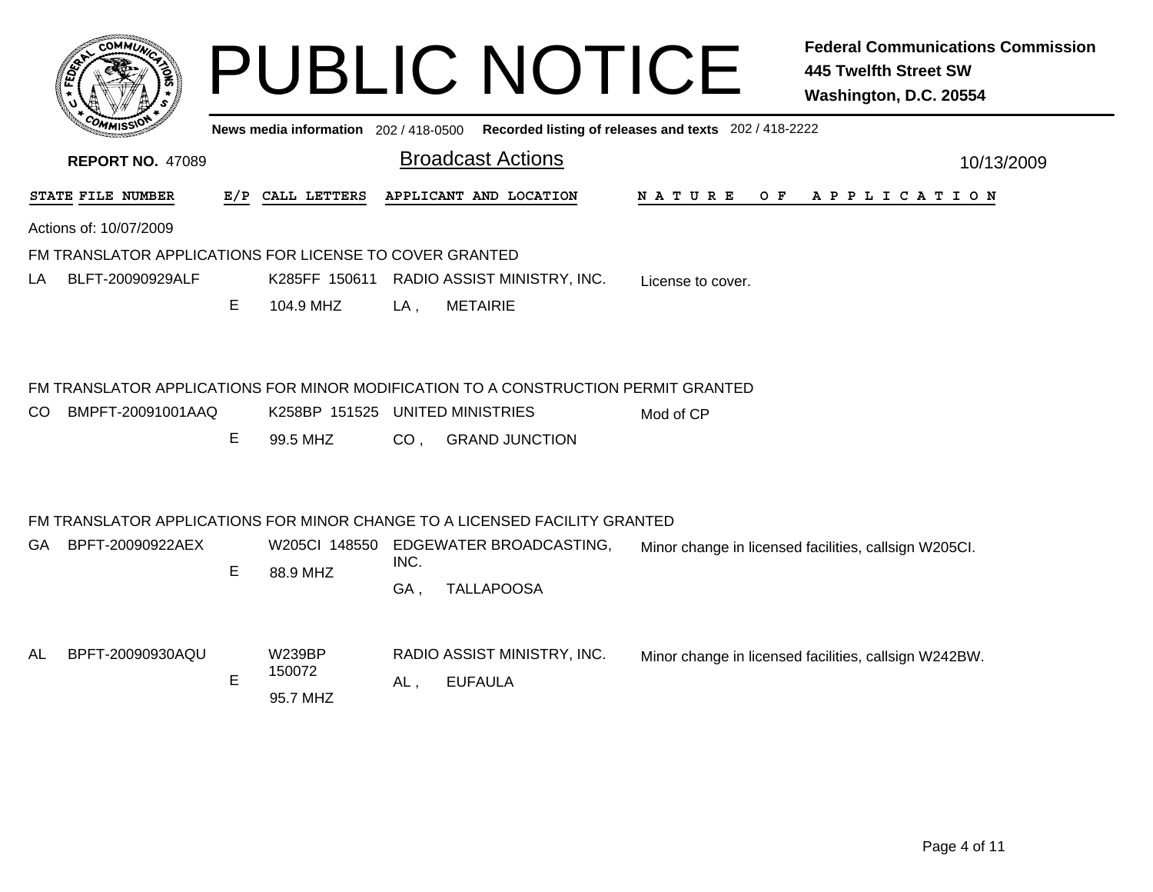|                        |                         |                                     |                  |                                        |                                                                                                                                                                                                                                           | <b>Federal Communications Commission</b><br><b>445 Twelfth Street SW</b><br>Washington, D.C. 20554                                                                                                                                                                                      |
|------------------------|-------------------------|-------------------------------------|------------------|----------------------------------------|-------------------------------------------------------------------------------------------------------------------------------------------------------------------------------------------------------------------------------------------|-----------------------------------------------------------------------------------------------------------------------------------------------------------------------------------------------------------------------------------------------------------------------------------------|
|                        |                         |                                     |                  |                                        |                                                                                                                                                                                                                                           |                                                                                                                                                                                                                                                                                         |
|                        |                         |                                     |                  |                                        |                                                                                                                                                                                                                                           | 10/13/2009                                                                                                                                                                                                                                                                              |
| STATE FILE NUMBER      |                         |                                     |                  |                                        | N A T U R E<br>O F                                                                                                                                                                                                                        | A P P L I C A T I O N                                                                                                                                                                                                                                                                   |
| Actions of: 10/07/2009 |                         |                                     |                  |                                        |                                                                                                                                                                                                                                           |                                                                                                                                                                                                                                                                                         |
|                        |                         |                                     |                  |                                        |                                                                                                                                                                                                                                           |                                                                                                                                                                                                                                                                                         |
| BLFT-20090929ALF       |                         |                                     |                  |                                        | License to cover.                                                                                                                                                                                                                         |                                                                                                                                                                                                                                                                                         |
|                        | Е                       | 104.9 MHZ                           | LA,              | <b>METAIRIE</b>                        |                                                                                                                                                                                                                                           |                                                                                                                                                                                                                                                                                         |
|                        | Е                       | 99.5 MHZ                            | CO <sub>1</sub>  | <b>GRAND JUNCTION</b>                  | Mod of CP                                                                                                                                                                                                                                 |                                                                                                                                                                                                                                                                                         |
| BPFT-20090922AEX       |                         |                                     |                  |                                        |                                                                                                                                                                                                                                           | Minor change in licensed facilities, callsign W205Cl.                                                                                                                                                                                                                                   |
|                        | E.                      | 88.9 MHZ                            | GA,              | <b>TALLAPOOSA</b>                      |                                                                                                                                                                                                                                           |                                                                                                                                                                                                                                                                                         |
| BPFT-20090930AQU       | E                       | <b>W239BP</b><br>150072<br>95.7 MHZ | $AL$ ,           | <b>EUFAULA</b>                         |                                                                                                                                                                                                                                           | Minor change in licensed facilities, callsign W242BW.                                                                                                                                                                                                                                   |
|                        | <b>REPORT NO. 47089</b> | BMPFT-20091001AAQ                   | E/P CALL LETTERS | K285FF 150611<br>W205CI 148550<br>INC. | <b>Broadcast Actions</b><br>APPLICANT AND LOCATION<br>FM TRANSLATOR APPLICATIONS FOR LICENSE TO COVER GRANTED<br>RADIO ASSIST MINISTRY, INC.<br>K258BP 151525 UNITED MINISTRIES<br>EDGEWATER BROADCASTING,<br>RADIO ASSIST MINISTRY, INC. | <b>PUBLIC NOTICE</b><br>News media information 202 / 418-0500 Recorded listing of releases and texts 202 / 418-2222<br>FM TRANSLATOR APPLICATIONS FOR MINOR MODIFICATION TO A CONSTRUCTION PERMIT GRANTED<br>FM TRANSLATOR APPLICATIONS FOR MINOR CHANGE TO A LICENSED FACILITY GRANTED |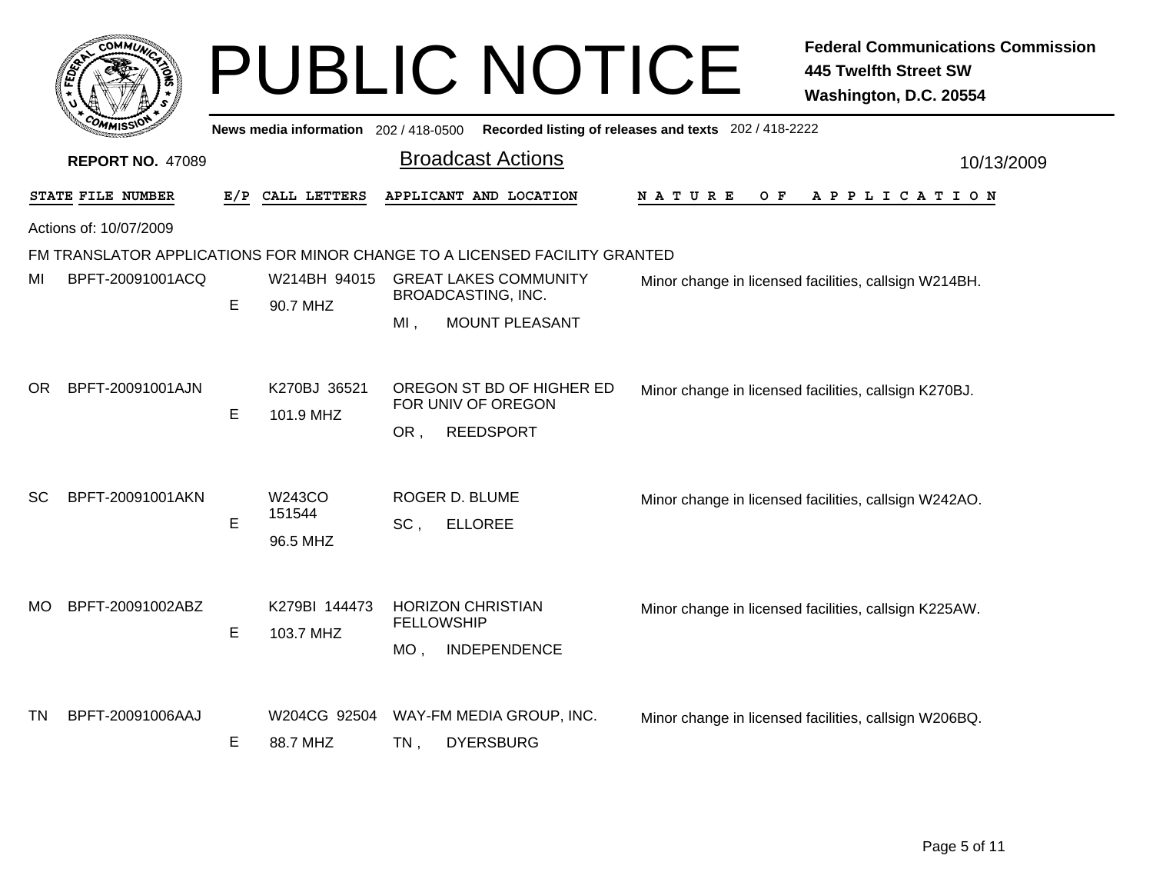|                   | <b>COMMUT</b>           |     |                           | <b>PUBLIC NOTICE</b>                                                                    | <b>Federal Communications Commission</b><br><b>445 Twelfth Street SW</b><br>Washington, D.C. 20554 |
|-------------------|-------------------------|-----|---------------------------|-----------------------------------------------------------------------------------------|----------------------------------------------------------------------------------------------------|
|                   |                         |     |                           | News media information 202/418-0500 Recorded listing of releases and texts 202/418-2222 |                                                                                                    |
|                   | <b>REPORT NO. 47089</b> |     |                           | <b>Broadcast Actions</b>                                                                | 10/13/2009                                                                                         |
| STATE FILE NUMBER |                         | E/P | CALL LETTERS              | APPLICANT AND LOCATION                                                                  | NATURE<br>O F<br>APPLICATION                                                                       |
|                   | Actions of: 10/07/2009  |     |                           |                                                                                         |                                                                                                    |
|                   |                         |     |                           | FM TRANSLATOR APPLICATIONS FOR MINOR CHANGE TO A LICENSED FACILITY GRANTED              |                                                                                                    |
| MI                | BPFT-20091001ACQ        | E   | W214BH 94015<br>90.7 MHZ  | <b>GREAT LAKES COMMUNITY</b><br>BROADCASTING, INC.                                      | Minor change in licensed facilities, callsign W214BH.                                              |
|                   |                         |     |                           | MOUNT PLEASANT<br>MI,                                                                   |                                                                                                    |
| OR.               | BPFT-20091001AJN        | Е   | K270BJ 36521<br>101.9 MHZ | OREGON ST BD OF HIGHER ED<br>FOR UNIV OF OREGON                                         | Minor change in licensed facilities, callsign K270BJ.                                              |
|                   |                         |     |                           | <b>REEDSPORT</b><br>OR,                                                                 |                                                                                                    |
| <b>SC</b>         | BPFT-20091001AKN        |     | W243CO<br>151544          | ROGER D. BLUME                                                                          | Minor change in licensed facilities, callsign W242AO.                                              |
|                   |                         | E   | 96.5 MHZ                  | SC.<br><b>ELLOREE</b>                                                                   |                                                                                                    |
| MO.               | BPFT-20091002ABZ        |     | K279BI 144473             | <b>HORIZON CHRISTIAN</b>                                                                | Minor change in licensed facilities, callsign K225AW.                                              |
|                   |                         | Е   | 103.7 MHZ                 | <b>FELLOWSHIP</b><br>INDEPENDENCE<br>MO.                                                |                                                                                                    |
|                   |                         |     |                           |                                                                                         |                                                                                                    |
| ΤN                | BPFT-20091006AAJ        | Е   | W204CG 92504<br>88.7 MHZ  | WAY-FM MEDIA GROUP, INC.<br><b>DYERSBURG</b><br>TN.                                     | Minor change in licensed facilities, callsign W206BQ.                                              |
|                   |                         |     |                           |                                                                                         |                                                                                                    |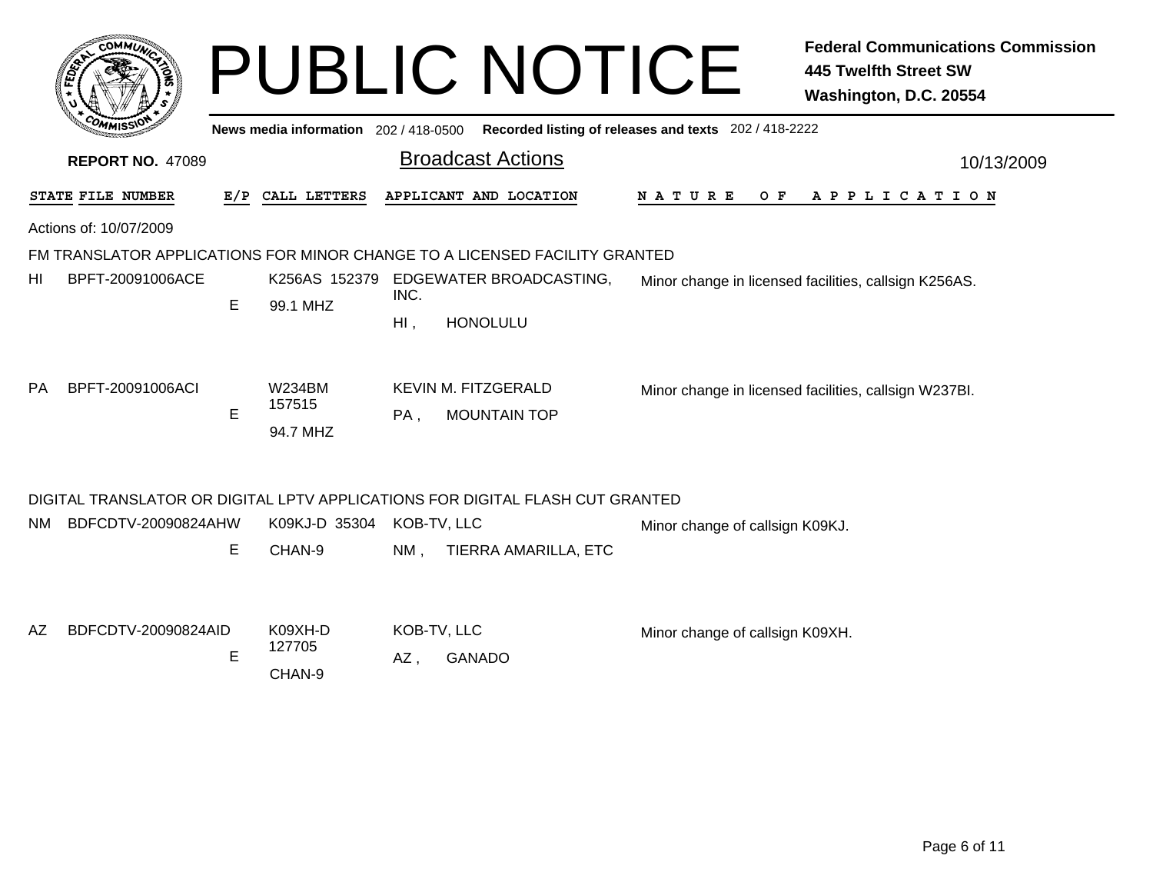|     |                         |   |                                       |                | <b>PUBLIC NOTICE</b>                                                          |                                                       | <b>Federal Communications Commission</b><br><b>445 Twelfth Street SW</b><br>Washington, D.C. 20554 |
|-----|-------------------------|---|---------------------------------------|----------------|-------------------------------------------------------------------------------|-------------------------------------------------------|----------------------------------------------------------------------------------------------------|
|     |                         |   | News media information 202 / 418-0500 |                |                                                                               | Recorded listing of releases and texts 202 / 418-2222 |                                                                                                    |
|     | <b>REPORT NO. 47089</b> |   |                                       |                | <b>Broadcast Actions</b>                                                      |                                                       | 10/13/2009                                                                                         |
|     | STATE FILE NUMBER       |   | E/P CALL LETTERS                      |                | APPLICANT AND LOCATION                                                        | N A T U R E<br>O F                                    | A P P L I C A T I O N                                                                              |
|     | Actions of: 10/07/2009  |   |                                       |                |                                                                               |                                                       |                                                                                                    |
|     |                         |   |                                       |                | FM TRANSLATOR APPLICATIONS FOR MINOR CHANGE TO A LICENSED FACILITY GRANTED    |                                                       |                                                                                                    |
| HI  | BPFT-20091006ACE        | E | 99.1 MHZ                              | INC.<br>$Hl$ , | K256AS 152379 EDGEWATER BROADCASTING,<br><b>HONOLULU</b>                      |                                                       | Minor change in licensed facilities, callsign K256AS.                                              |
| PA. | BPFT-20091006ACI        | E | <b>W234BM</b><br>157515<br>94.7 MHZ   | PA,            | KEVIN M. FITZGERALD<br><b>MOUNTAIN TOP</b>                                    |                                                       | Minor change in licensed facilities, callsign W237BI.                                              |
|     |                         |   |                                       |                | DIGITAL TRANSLATOR OR DIGITAL LPTV APPLICATIONS FOR DIGITAL FLASH CUT GRANTED |                                                       |                                                                                                    |
| NM. | BDFCDTV-20090824AHW     | E | K09KJ-D 35304<br>CHAN-9               | $NM$ ,         | KOB-TV, LLC<br>TIERRA AMARILLA, ETC                                           | Minor change of callsign K09KJ.                       |                                                                                                    |
| AZ. | BDFCDTV-20090824AID     | E | K09XH-D<br>127705<br>CHAN-9           | $AZ$ .         | KOB-TV, LLC<br><b>GANADO</b>                                                  | Minor change of callsign K09XH.                       |                                                                                                    |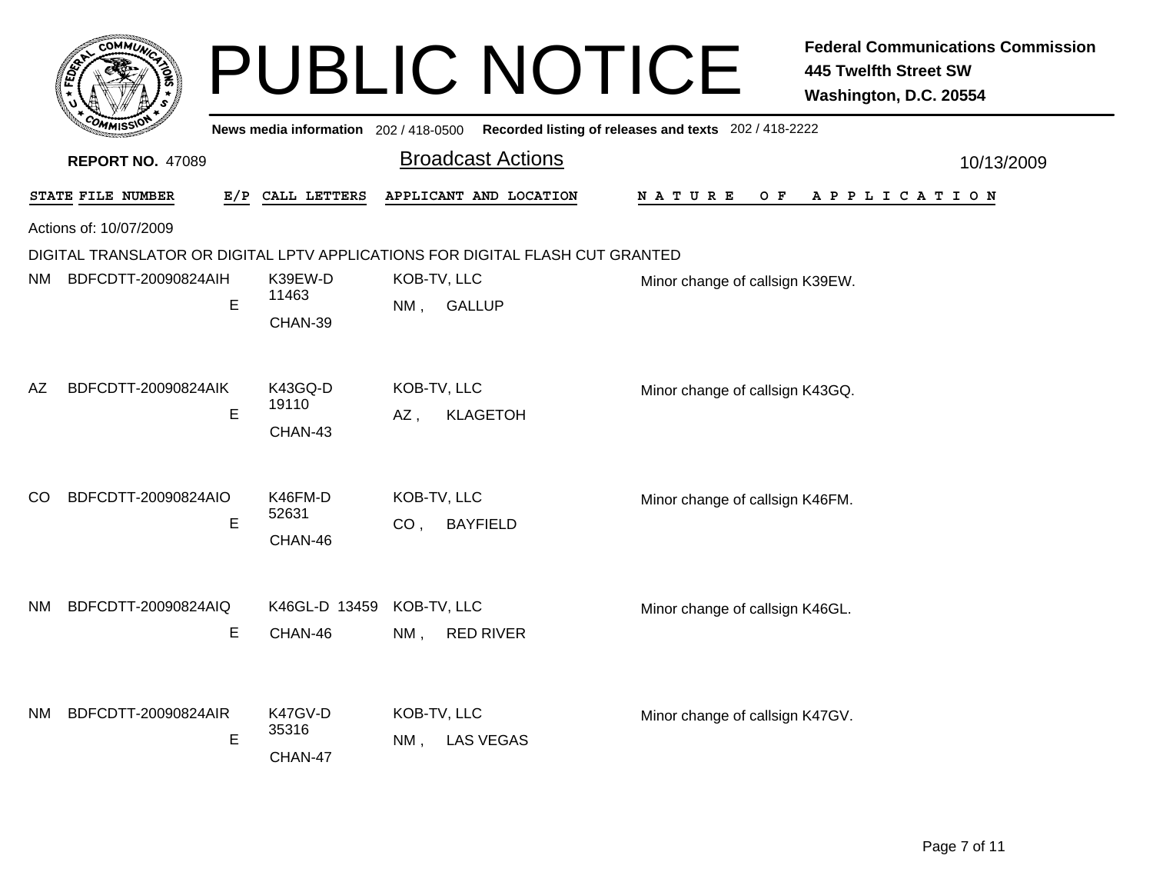|      | <b>сОММИ</b>                                                                  |   |                                       |                                                   | <b>PUBLIC NOTICE</b> |                                                       | <b>Federal Communications Commission</b><br><b>445 Twelfth Street SW</b><br>Washington, D.C. 20554 |  |  |  |  |  |
|------|-------------------------------------------------------------------------------|---|---------------------------------------|---------------------------------------------------|----------------------|-------------------------------------------------------|----------------------------------------------------------------------------------------------------|--|--|--|--|--|
|      |                                                                               |   | News media information $202/418-0500$ |                                                   |                      | Recorded listing of releases and texts 202 / 418-2222 |                                                                                                    |  |  |  |  |  |
|      | <b>REPORT NO. 47089</b>                                                       |   |                                       | <b>Broadcast Actions</b>                          |                      | 10/13/2009                                            |                                                                                                    |  |  |  |  |  |
|      | STATE FILE NUMBER                                                             |   | E/P CALL LETTERS                      | APPLICANT AND LOCATION                            |                      | N A T U R E<br>O F                                    | A P P L I C A T I O N                                                                              |  |  |  |  |  |
|      | Actions of: 10/07/2009                                                        |   |                                       |                                                   |                      |                                                       |                                                                                                    |  |  |  |  |  |
|      | DIGITAL TRANSLATOR OR DIGITAL LPTV APPLICATIONS FOR DIGITAL FLASH CUT GRANTED |   |                                       |                                                   |                      |                                                       |                                                                                                    |  |  |  |  |  |
| NM - | BDFCDTT-20090824AIH                                                           | E | K39EW-D<br>11463<br>CHAN-39           | KOB-TV, LLC<br><b>GALLUP</b><br>$NM$ ,            |                      | Minor change of callsign K39EW.                       |                                                                                                    |  |  |  |  |  |
| AZ   | BDFCDTT-20090824AIK                                                           | E | K43GQ-D<br>19110<br>CHAN-43           | KOB-TV, LLC<br><b>KLAGETOH</b><br>AZ,             |                      | Minor change of callsign K43GQ.                       |                                                                                                    |  |  |  |  |  |
| CO   | BDFCDTT-20090824AIO                                                           | E | K46FM-D<br>52631<br>CHAN-46           | KOB-TV, LLC<br><b>BAYFIELD</b><br>CO <sub>1</sub> |                      | Minor change of callsign K46FM.                       |                                                                                                    |  |  |  |  |  |
| NM.  | BDFCDTT-20090824AIQ                                                           | E | K46GL-D 13459<br>CHAN-46              | KOB-TV, LLC<br>$NM$ ,<br><b>RED RIVER</b>         |                      | Minor change of callsign K46GL.                       |                                                                                                    |  |  |  |  |  |
| NM.  | BDFCDTT-20090824AIR                                                           | E | K47GV-D<br>35316<br>CHAN-47           | KOB-TV, LLC<br><b>LAS VEGAS</b><br>NM ,           |                      | Minor change of callsign K47GV.                       |                                                                                                    |  |  |  |  |  |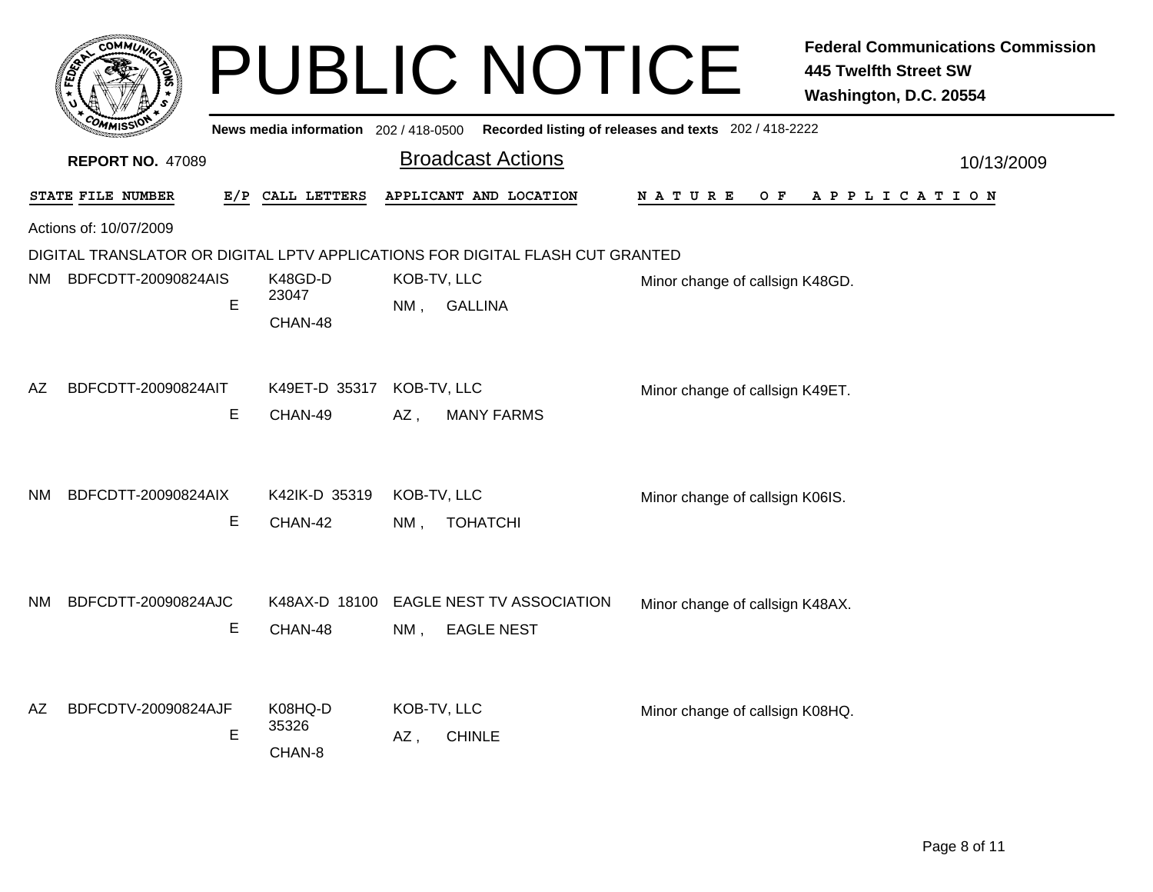|      | <b>COMMUT</b>           |   |                                      |                       | <b>PUBLIC NOTICE</b>                                                                    |                                 | <b>Federal Communications Commission</b><br><b>445 Twelfth Street SW</b><br>Washington, D.C. 20554 |
|------|-------------------------|---|--------------------------------------|-----------------------|-----------------------------------------------------------------------------------------|---------------------------------|----------------------------------------------------------------------------------------------------|
|      |                         |   |                                      |                       | News media information 202/418-0500 Recorded listing of releases and texts 202/418-2222 |                                 |                                                                                                    |
|      | <b>REPORT NO. 47089</b> |   |                                      |                       | <b>Broadcast Actions</b>                                                                |                                 | 10/13/2009                                                                                         |
|      | STATE FILE NUMBER       |   | E/P CALL LETTERS                     |                       | APPLICANT AND LOCATION                                                                  | N A T U R E<br>O F              | A P P L I C A T I O N                                                                              |
|      | Actions of: 10/07/2009  |   |                                      |                       |                                                                                         |                                 |                                                                                                    |
|      |                         |   |                                      |                       | DIGITAL TRANSLATOR OR DIGITAL LPTV APPLICATIONS FOR DIGITAL FLASH CUT GRANTED           |                                 |                                                                                                    |
| NM - | BDFCDTT-20090824AIS     | E | K48GD-D<br>23047<br>CHAN-48          | KOB-TV, LLC<br>NM .   | <b>GALLINA</b>                                                                          | Minor change of callsign K48GD. |                                                                                                    |
| AΖ   | BDFCDTT-20090824AIT     | E | K49ET-D 35317 KOB-TV, LLC<br>CHAN-49 | AZ ,                  | <b>MANY FARMS</b>                                                                       | Minor change of callsign K49ET. |                                                                                                    |
| NM.  | BDFCDTT-20090824AIX     | E | K42IK-D 35319<br>CHAN-42             | KOB-TV, LLC<br>$NM$ , | <b>TOHATCHI</b>                                                                         | Minor change of callsign K06IS. |                                                                                                    |
| NM.  | BDFCDTT-20090824AJC     | E | CHAN-48                              | $NM$ .                | K48AX-D 18100 EAGLE NEST TV ASSOCIATION<br><b>EAGLE NEST</b>                            | Minor change of callsign K48AX. |                                                                                                    |
| AΖ   | BDFCDTV-20090824AJF     | E | K08HQ-D<br>35326<br>CHAN-8           | KOB-TV, LLC<br>AZ,    | <b>CHINLE</b>                                                                           | Minor change of callsign K08HQ. |                                                                                                    |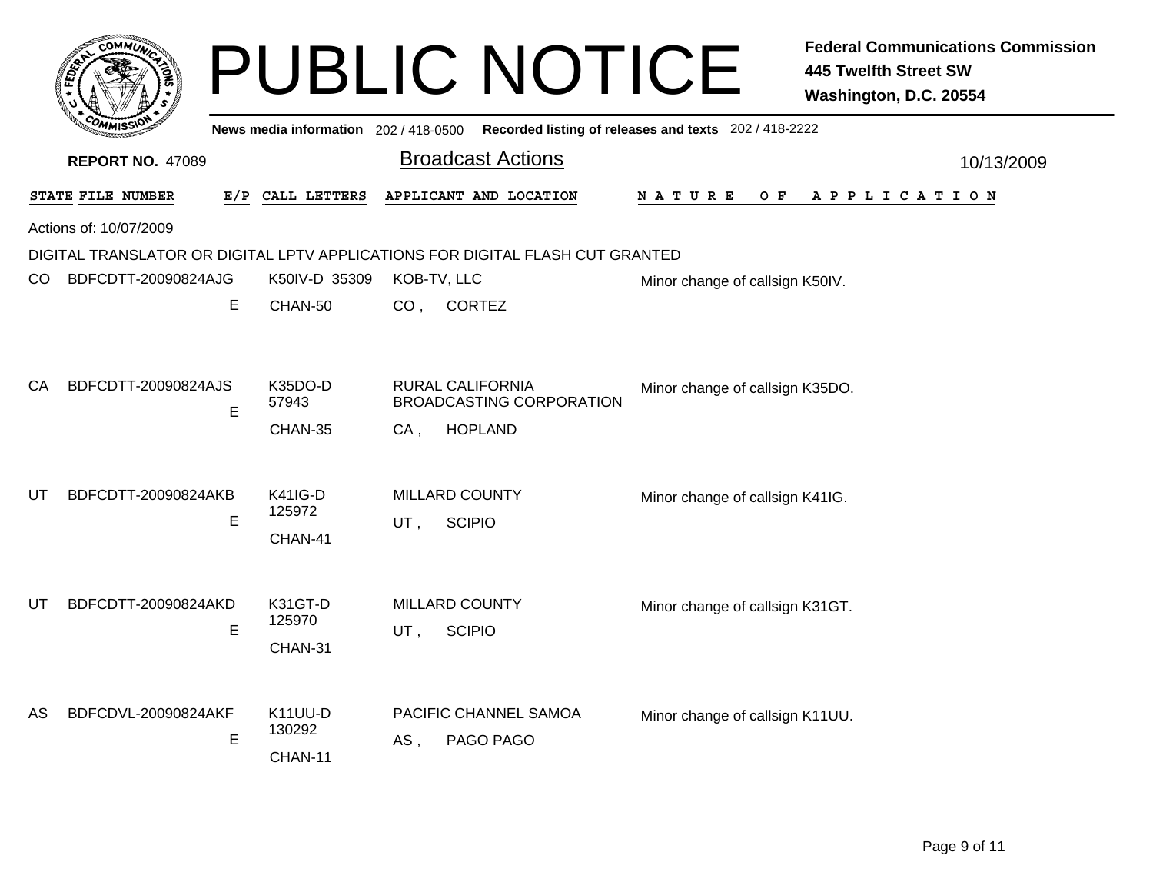|     | <b>COMMUN</b>           |   |                                                      |                 | <b>PUBLIC NOTICE</b>                                                          |                                                       | <b>Federal Communications Commission</b><br><b>445 Twelfth Street SW</b><br>Washington, D.C. 20554 |
|-----|-------------------------|---|------------------------------------------------------|-----------------|-------------------------------------------------------------------------------|-------------------------------------------------------|----------------------------------------------------------------------------------------------------|
|     |                         |   | News media information 202 / 418-0500                |                 |                                                                               | Recorded listing of releases and texts 202 / 418-2222 |                                                                                                    |
|     | <b>REPORT NO. 47089</b> |   |                                                      |                 | <b>Broadcast Actions</b>                                                      |                                                       | 10/13/2009                                                                                         |
|     | STATE FILE NUMBER       |   | E/P CALL LETTERS                                     |                 | APPLICANT AND LOCATION                                                        | N A T U R E<br>O F                                    | A P P L I C A T I O N                                                                              |
|     | Actions of: 10/07/2009  |   |                                                      |                 |                                                                               |                                                       |                                                                                                    |
|     |                         |   |                                                      |                 | DIGITAL TRANSLATOR OR DIGITAL LPTV APPLICATIONS FOR DIGITAL FLASH CUT GRANTED |                                                       |                                                                                                    |
| CO. | BDFCDTT-20090824AJG     |   | K50IV-D 35309                                        |                 | KOB-TV, LLC                                                                   | Minor change of callsign K50IV.                       |                                                                                                    |
|     |                         | Е | CHAN-50                                              | CO <sub>1</sub> | <b>CORTEZ</b>                                                                 |                                                       |                                                                                                    |
| CA  | BDFCDTT-20090824AJS     | Е | K35DO-D<br>57943<br>CHAN-35                          | $CA$ ,          | RURAL CALIFORNIA<br>BROADCASTING CORPORATION<br><b>HOPLAND</b>                | Minor change of callsign K35DO.                       |                                                                                                    |
| UT  | BDFCDTT-20090824AKB     |   | <b>K41IG-D</b>                                       |                 | <b>MILLARD COUNTY</b>                                                         | Minor change of callsign K41IG.                       |                                                                                                    |
|     |                         | E | 125972                                               | $UT$ ,          | <b>SCIPIO</b>                                                                 |                                                       |                                                                                                    |
| UT  | BDFCDTT-20090824AKD     | Е | CHAN-41<br>K31GT-D<br>125970                         | UT,             | <b>MILLARD COUNTY</b><br><b>SCIPIO</b>                                        | Minor change of callsign K31GT.                       |                                                                                                    |
| AS  | BDFCDVL-20090824AKF     | E | CHAN-31<br>K <sub>11</sub> UU-D<br>130292<br>CHAN-11 | AS.             | PACIFIC CHANNEL SAMOA<br>PAGO PAGO                                            | Minor change of callsign K11UU.                       |                                                                                                    |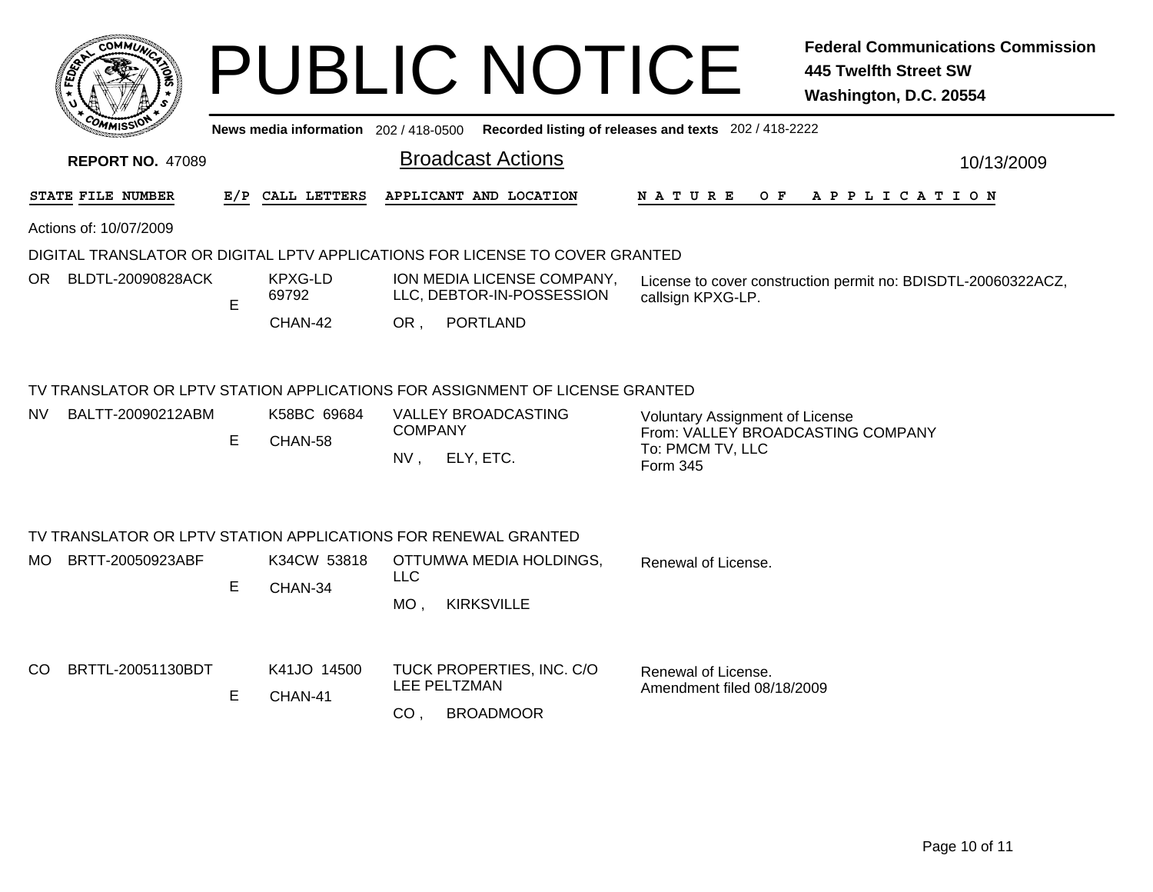|                          |     |                                       | <b>PUBLIC NOTICE</b>                                                                                                                      | <b>Federal Communications Commission</b><br><b>445 Twelfth Street SW</b><br>Washington, D.C. 20554          |
|--------------------------|-----|---------------------------------------|-------------------------------------------------------------------------------------------------------------------------------------------|-------------------------------------------------------------------------------------------------------------|
|                          |     | News media information $202/418-0500$ |                                                                                                                                           | Recorded listing of releases and texts 202 / 418-2222                                                       |
| <b>REPORT NO. 47089</b>  |     |                                       | <b>Broadcast Actions</b>                                                                                                                  | 10/13/2009                                                                                                  |
| STATE FILE NUMBER        | E/P | CALL LETTERS                          | APPLICANT AND LOCATION                                                                                                                    | N A T U R E<br>O F<br>APPLICATION                                                                           |
| Actions of: 10/07/2009   |     |                                       |                                                                                                                                           |                                                                                                             |
|                          |     |                                       | DIGITAL TRANSLATOR OR DIGITAL LPTV APPLICATIONS FOR LICENSE TO COVER GRANTED                                                              |                                                                                                             |
| OR BLDTL-20090828ACK     | E.  | KPXG-LD<br>69792                      | ION MEDIA LICENSE COMPANY,<br>LLC, DEBTOR-IN-POSSESSION                                                                                   | License to cover construction permit no: BDISDTL-20060322ACZ,<br>callsign KPXG-LP.                          |
|                          |     | CHAN-42                               | OR,<br><b>PORTLAND</b>                                                                                                                    |                                                                                                             |
| BALTT-20090212ABM<br>NV. | E   | K58BC 69684<br>CHAN-58                | TV TRANSLATOR OR LPTV STATION APPLICATIONS FOR ASSIGNMENT OF LICENSE GRANTED<br>VALLEY BROADCASTING<br><b>COMPANY</b><br>ELY, ETC.<br>NV. | <b>Voluntary Assignment of License</b><br>From: VALLEY BROADCASTING COMPANY<br>To: PMCM TV, LLC<br>Form 345 |
|                          |     |                                       | TV TRANSLATOR OR LPTV STATION APPLICATIONS FOR RENEWAL GRANTED                                                                            |                                                                                                             |
| BRTT-20050923ABF<br>MO.  | Е   | K34CW 53818<br>CHAN-34                | OTTUMWA MEDIA HOLDINGS,<br><b>LLC</b><br><b>KIRKSVILLE</b><br>$MO$ ,                                                                      | Renewal of License.                                                                                         |
| BRTTL-20051130BDT<br>CO. | E   | K41JO 14500<br>CHAN-41                | TUCK PROPERTIES, INC. C/O<br>LEE PELTZMAN<br>CO <sub>1</sub><br><b>BROADMOOR</b>                                                          | Renewal of License.<br>Amendment filed 08/18/2009                                                           |